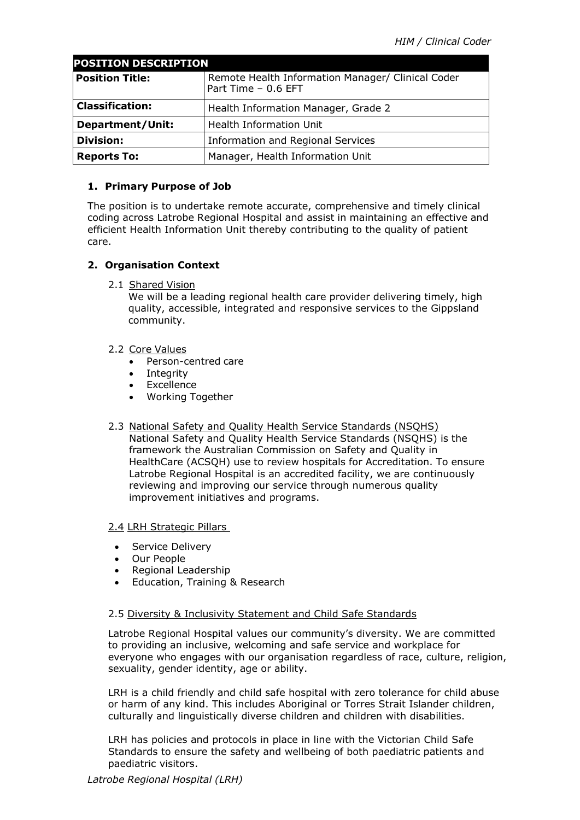| <b>POSITION DESCRIPTION</b> |                                                                          |
|-----------------------------|--------------------------------------------------------------------------|
| <b>Position Title:</b>      | Remote Health Information Manager/ Clinical Coder<br>Part Time - 0.6 EFT |
| <b>Classification:</b>      | Health Information Manager, Grade 2                                      |
| <b>Department/Unit:</b>     | Health Information Unit                                                  |
| <b>Division:</b>            | <b>Information and Regional Services</b>                                 |
| <b>Reports To:</b>          | Manager, Health Information Unit                                         |

# **1. Primary Purpose of Job**

The position is to undertake remote accurate, comprehensive and timely clinical coding across Latrobe Regional Hospital and assist in maintaining an effective and efficient Health Information Unit thereby contributing to the quality of patient care.

# **2. Organisation Context**

2.1 Shared Vision

We will be a leading regional health care provider delivering timely, high quality, accessible, integrated and responsive services to the Gippsland community.

### 2.2 Core Values

- Person-centred care
- Integrity
- Excellence
- Working Together
- 2.3 National Safety and Quality Health Service Standards (NSQHS) National Safety and Quality Health Service Standards (NSQHS) is the framework the Australian Commission on Safety and Quality in HealthCare (ACSQH) use to review hospitals for Accreditation. To ensure Latrobe Regional Hospital is an accredited facility, we are continuously reviewing and improving our service through numerous quality improvement initiatives and programs.

### 2.4 LRH Strategic Pillars

- Service Delivery
- Our People
- Regional Leadership
- Education, Training & Research

### 2.5 Diversity & Inclusivity Statement and Child Safe Standards

Latrobe Regional Hospital values our community's diversity. We are committed to providing an inclusive, welcoming and safe service and workplace for everyone who engages with our organisation regardless of race, culture, religion, sexuality, gender identity, age or ability.

LRH is a child friendly and child safe hospital with zero tolerance for child abuse or harm of any kind. This includes Aboriginal or Torres Strait Islander children, culturally and linguistically diverse children and children with disabilities.

LRH has policies and protocols in place in line with the Victorian Child Safe Standards to ensure the safety and wellbeing of both paediatric patients and paediatric visitors.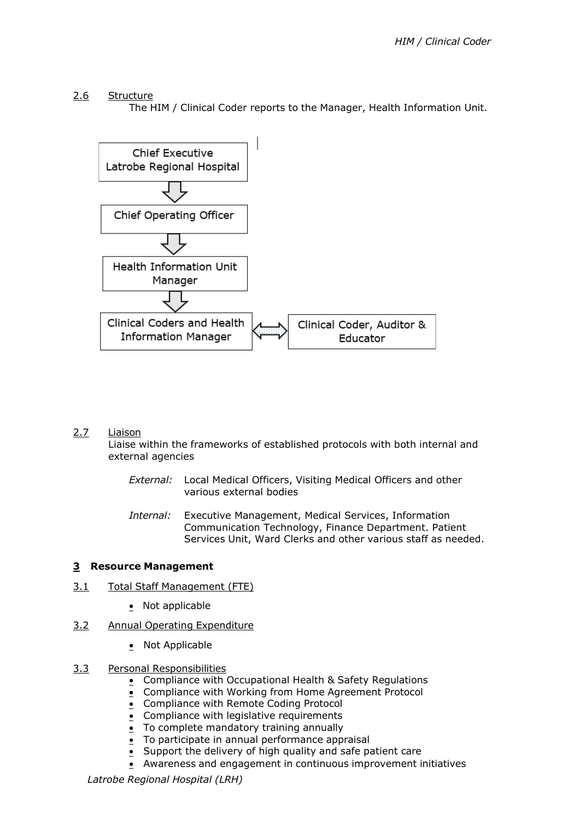2.6 Structure

The HIM / Clinical Coder reports to the Manager, Health Information Unit.



### 2.7 Liaison

Liaise within the frameworks of established protocols with both internal and external agencies

- *External:* Local Medical Officers, Visiting Medical Officers and other various external bodies
- *Internal:* Executive Management, Medical Services, Information Communication Technology, Finance Department. Patient Services Unit, Ward Clerks and other various staff as needed.

### **3 Resource Management**

- 3.1 Total Staff Management (FTE)
	- Not applicable
- 3.2 Annual Operating Expenditure
	- Not Applicable
- 3.3 Personal Responsibilities
	- Compliance with Occupational Health & Safety Regulations
	- Compliance with Working from Home Agreement Protocol
	- Compliance with Remote Coding Protocol
	- Compliance with legislative requirements
	- To complete mandatory training annually
	- To participate in annual performance appraisal
	- Support the delivery of high quality and safe patient care
	- Awareness and engagement in continuous improvement initiatives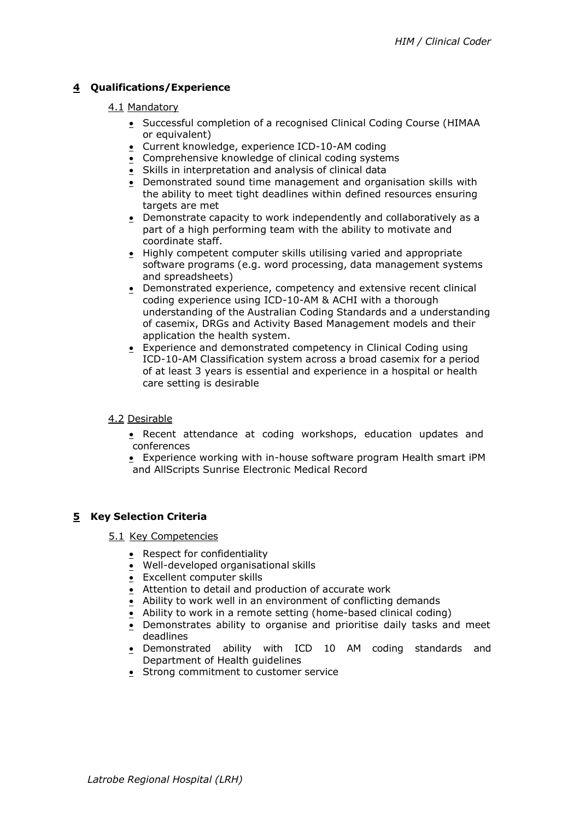# **4 Qualifications/Experience**

## 4.1 Mandatory

- Successful completion of a recognised Clinical Coding Course (HIMAA or equivalent)
- Current knowledge, experience ICD-10-AM coding
- Comprehensive knowledge of clinical coding systems
- Skills in interpretation and analysis of clinical data
- Demonstrated sound time management and organisation skills with the ability to meet tight deadlines within defined resources ensuring targets are met
- Demonstrate capacity to work independently and collaboratively as a part of a high performing team with the ability to motivate and coordinate staff.
- Highly competent computer skills utilising varied and appropriate software programs (e.g. word processing, data management systems and spreadsheets)
- Demonstrated experience, competency and extensive recent clinical coding experience using ICD-10-AM & ACHI with a thorough understanding of the Australian Coding Standards and a understanding of casemix, DRGs and Activity Based Management models and their application the health system.
- Experience and demonstrated competency in Clinical Coding using ICD-10-AM Classification system across a broad casemix for a period of at least 3 years is essential and experience in a hospital or health care setting is desirable

### 4.2 Desirable

- Recent attendance at coding workshops, education updates and conferences
- Experience working with in-house software program Health smart iPM and AllScripts Sunrise Electronic Medical Record

# **5 Key Selection Criteria**

- 5.1 Key Competencies
	- Respect for confidentiality
	- Well-developed organisational skills
	- Excellent computer skills
	- Attention to detail and production of accurate work
	- Ability to work well in an environment of conflicting demands
	- Ability to work in a remote setting (home-based clinical coding)
	- Demonstrates ability to organise and prioritise daily tasks and meet deadlines
	- Demonstrated ability with ICD 10 AM coding standards and Department of Health guidelines
	- Strong commitment to customer service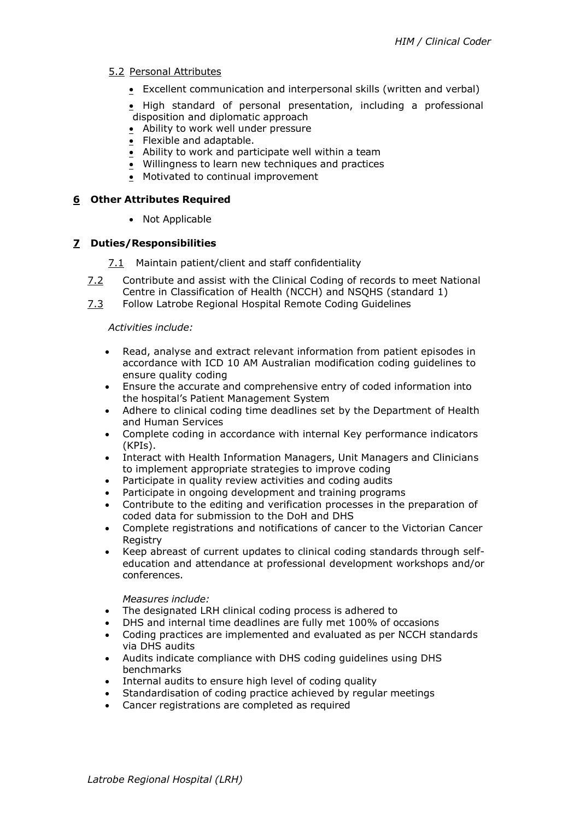## 5.2 Personal Attributes

- Excellent communication and interpersonal skills (written and verbal)
- High standard of personal presentation, including a professional disposition and diplomatic approach
- Ability to work well under pressure
- Flexible and adaptable.
- Ability to work and participate well within a team
- Willingness to learn new techniques and practices
- Motivated to continual improvement

### **6 Other Attributes Required**

• Not Applicable

### **7 Duties/Responsibilities**

- 7.1 Maintain patient/client and staff confidentiality
- 7.2 Contribute and assist with the Clinical Coding of records to meet National Centre in Classification of Health (NCCH) and NSQHS (standard 1)
- 7.3 Follow Latrobe Regional Hospital Remote Coding Guidelines

#### *Activities include:*

- Read, analyse and extract relevant information from patient episodes in accordance with ICD 10 AM Australian modification coding guidelines to ensure quality coding
- Ensure the accurate and comprehensive entry of coded information into the hospital's Patient Management System
- Adhere to clinical coding time deadlines set by the Department of Health and Human Services
- Complete coding in accordance with internal Key performance indicators (KPIs).
- Interact with Health Information Managers, Unit Managers and Clinicians to implement appropriate strategies to improve coding
- Participate in quality review activities and coding audits
- Participate in ongoing development and training programs
- Contribute to the editing and verification processes in the preparation of coded data for submission to the DoH and DHS
- Complete registrations and notifications of cancer to the Victorian Cancer **Registry**
- Keep abreast of current updates to clinical coding standards through selfeducation and attendance at professional development workshops and/or conferences.

#### *Measures include:*

- The designated LRH clinical coding process is adhered to
- DHS and internal time deadlines are fully met 100% of occasions
- Coding practices are implemented and evaluated as per NCCH standards via DHS audits
- Audits indicate compliance with DHS coding guidelines using DHS benchmarks
- Internal audits to ensure high level of coding quality
- Standardisation of coding practice achieved by regular meetings
- Cancer registrations are completed as required